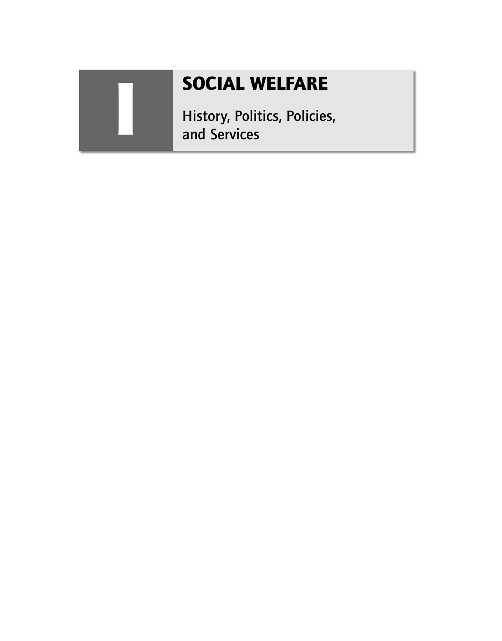# SOCIAL WELFARE

**I**

History, Politics, Policies, and Services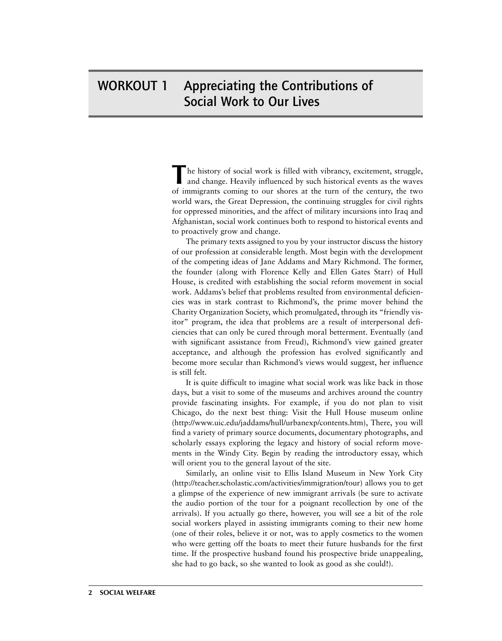# WORKOUT 1 Appreciating the Contributions of Social Work to Our Lives

**T**he history of social work is filled with vibrancy, excitement, struggle, and change. Heavily influenced by such historical events as the waves of immigrants coming to our shores at the turn of the century, the two world wars, the Great Depression, the continuing struggles for civil rights for oppressed minorities, and the affect of military incursions into Iraq and Afghanistan, social work continues both to respond to historical events and to proactively grow and change.

The primary texts assigned to you by your instructor discuss the history of our profession at considerable length. Most begin with the development of the competing ideas of Jane Addams and Mary Richmond. The former, the founder (along with Florence Kelly and Ellen Gates Starr) of Hull House, is credited with establishing the social reform movement in social work. Addams's belief that problems resulted from environmental deficiencies was in stark contrast to Richmond's, the prime mover behind the Charity Organization Society, which promulgated, through its "friendly visitor" program, the idea that problems are a result of interpersonal deficiencies that can only be cured through moral betterment. Eventually (and with significant assistance from Freud), Richmond's view gained greater acceptance, and although the profession has evolved significantly and become more secular than Richmond's views would suggest, her influence is still felt.

It is quite difficult to imagine what social work was like back in those days, but a visit to some of the museums and archives around the country provide fascinating insights. For example, if you do not plan to visit Chicago, do the next best thing: Visit the Hull House museum online (http://www.uic.edu/jaddams/hull/urbanexp/contents.htm), There, you will find a variety of primary source documents, documentary photographs, and scholarly essays exploring the legacy and history of social reform movements in the Windy City. Begin by reading the introductory essay, which will orient you to the general layout of the site.

Similarly, an online visit to Ellis Island Museum in New York City (http://teacher.scholastic.com/activities/immigration/tour) allows you to get a glimpse of the experience of new immigrant arrivals (be sure to activate the audio portion of the tour for a poignant recollection by one of the arrivals). If you actually go there, however, you will see a bit of the role social workers played in assisting immigrants coming to their new home (one of their roles, believe it or not, was to apply cosmetics to the women who were getting off the boats to meet their future husbands for the first time. If the prospective husband found his prospective bride unappealing, she had to go back, so she wanted to look as good as she could!).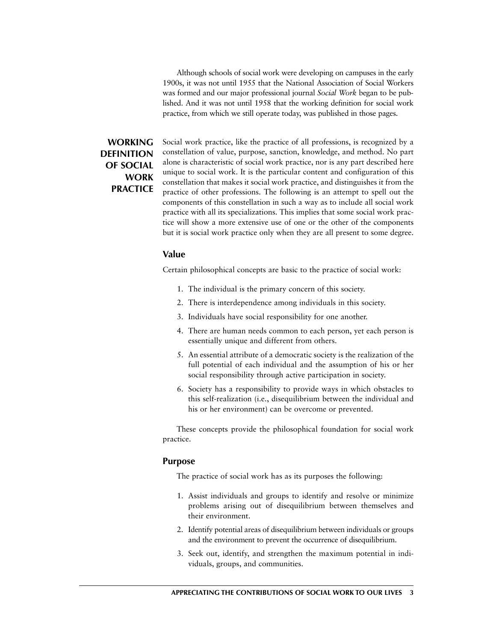Although schools of social work were developing on campuses in the early 1900s, it was not until 1955 that the National Association of Social Workers was formed and our major professional journal *Social Work* began to be published. And it was not until 1958 that the working definition for social work practice, from which we still operate today, was published in those pages.

# **WORKING DEFINITION OF SOCIAL WORK PRACTICE**

Social work practice, like the practice of all professions, is recognized by a constellation of value, purpose, sanction, knowledge, and method. No part alone is characteristic of social work practice, nor is any part described here unique to social work. It is the particular content and configuration of this constellation that makes it social work practice, and distinguishes it from the practice of other professions. The following is an attempt to spell out the components of this constellation in such a way as to include all social work practice with all its specializations. This implies that some social work practice will show a more extensive use of one or the other of the components but it is social work practice only when they are all present to some degree.

#### **Value**

Certain philosophical concepts are basic to the practice of social work:

- 1. The individual is the primary concern of this society.
- 2. There is interdependence among individuals in this society.
- 3. Individuals have social responsibility for one another.
- 4. There are human needs common to each person, yet each person is essentially unique and different from others.
- 5. An essential attribute of a democratic society is the realization of the full potential of each individual and the assumption of his or her social responsibility through active participation in society.
- 6. Society has a responsibility to provide ways in which obstacles to this self-realization (i.e., disequilibrium between the individual and his or her environment) can be overcome or prevented.

These concepts provide the philosophical foundation for social work practice.

#### **Purpose**

The practice of social work has as its purposes the following:

- 1. Assist individuals and groups to identify and resolve or minimize problems arising out of disequilibrium between themselves and their environment.
- 2. Identify potential areas of disequilibrium between individuals or groups and the environment to prevent the occurrence of disequilibrium.
- 3. Seek out, identify, and strengthen the maximum potential in individuals, groups, and communities.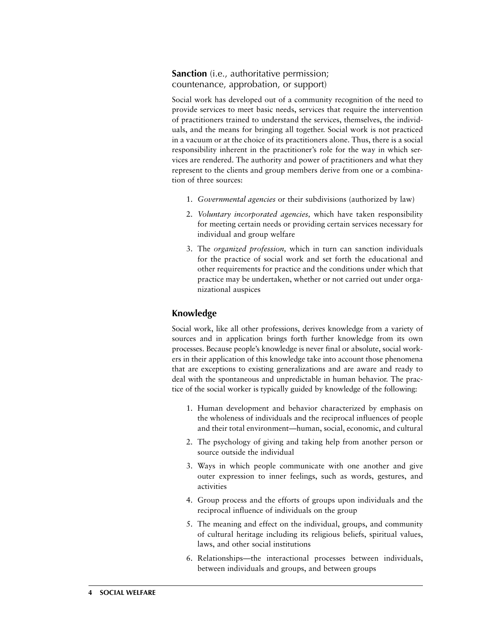# **Sanction** (i.e., authoritative permission; countenance, approbation, or support)

Social work has developed out of a community recognition of the need to provide services to meet basic needs, services that require the intervention of practitioners trained to understand the services, themselves, the individuals, and the means for bringing all together. Social work is not practiced in a vacuum or at the choice of its practitioners alone. Thus, there is a social responsibility inherent in the practitioner's role for the way in which services are rendered. The authority and power of practitioners and what they represent to the clients and group members derive from one or a combination of three sources:

- 1. *Governmental agencies* or their subdivisions (authorized by law)
- 2. *Voluntary incorporated agencies,* which have taken responsibility for meeting certain needs or providing certain services necessary for individual and group welfare
- 3. The *organized profession,* which in turn can sanction individuals for the practice of social work and set forth the educational and other requirements for practice and the conditions under which that practice may be undertaken, whether or not carried out under organizational auspices

### **Knowledge**

Social work, like all other professions, derives knowledge from a variety of sources and in application brings forth further knowledge from its own processes. Because people's knowledge is never final or absolute, social workers in their application of this knowledge take into account those phenomena that are exceptions to existing generalizations and are aware and ready to deal with the spontaneous and unpredictable in human behavior. The practice of the social worker is typically guided by knowledge of the following:

- 1. Human development and behavior characterized by emphasis on the wholeness of individuals and the reciprocal influences of people and their total environment—human, social, economic, and cultural
- 2. The psychology of giving and taking help from another person or source outside the individual
- 3. Ways in which people communicate with one another and give outer expression to inner feelings, such as words, gestures, and activities
- 4. Group process and the efforts of groups upon individuals and the reciprocal influence of individuals on the group
- 5. The meaning and effect on the individual, groups, and community of cultural heritage including its religious beliefs, spiritual values, laws, and other social institutions
- 6. Relationships—the interactional processes between individuals, between individuals and groups, and between groups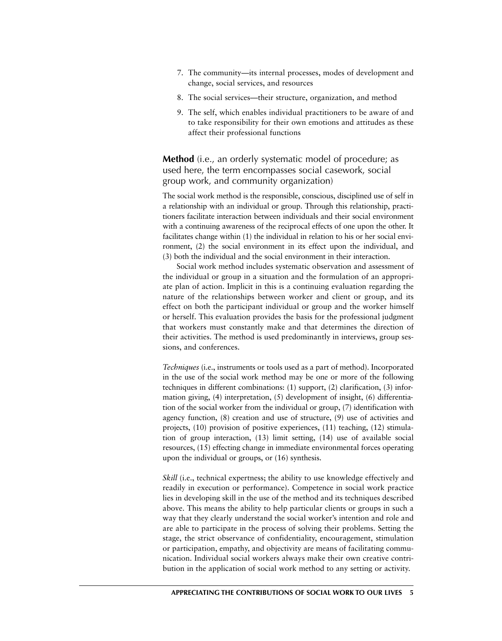- 7. The community—its internal processes, modes of development and change, social services, and resources
- 8. The social services—their structure, organization, and method
- 9. The self, which enables individual practitioners to be aware of and to take responsibility for their own emotions and attitudes as these affect their professional functions

## **Method** (i.e., an orderly systematic model of procedure; as used here, the term encompasses social casework, social group work, and community organization)

The social work method is the responsible, conscious, disciplined use of self in a relationship with an individual or group. Through this relationship, practitioners facilitate interaction between individuals and their social environment with a continuing awareness of the reciprocal effects of one upon the other. It facilitates change within (1) the individual in relation to his or her social environment, (2) the social environment in its effect upon the individual, and (3) both the individual and the social environment in their interaction.

Social work method includes systematic observation and assessment of the individual or group in a situation and the formulation of an appropriate plan of action. Implicit in this is a continuing evaluation regarding the nature of the relationships between worker and client or group, and its effect on both the participant individual or group and the worker himself or herself. This evaluation provides the basis for the professional judgment that workers must constantly make and that determines the direction of their activities. The method is used predominantly in interviews, group sessions, and conferences.

*Techniques* (i.e., instruments or tools used as a part of method). Incorporated in the use of the social work method may be one or more of the following techniques in different combinations: (1) support, (2) clarification, (3) information giving, (4) interpretation, (5) development of insight, (6) differentiation of the social worker from the individual or group, (7) identification with agency function, (8) creation and use of structure, (9) use of activities and projects, (10) provision of positive experiences, (11) teaching, (12) stimulation of group interaction, (13) limit setting, (14) use of available social resources, (15) effecting change in immediate environmental forces operating upon the individual or groups, or (16) synthesis.

*Skill* (i.e., technical expertness; the ability to use knowledge effectively and readily in execution or performance). Competence in social work practice lies in developing skill in the use of the method and its techniques described above. This means the ability to help particular clients or groups in such a way that they clearly understand the social worker's intention and role and are able to participate in the process of solving their problems. Setting the stage, the strict observance of confidentiality, encouragement, stimulation or participation, empathy, and objectivity are means of facilitating communication. Individual social workers always make their own creative contribution in the application of social work method to any setting or activity.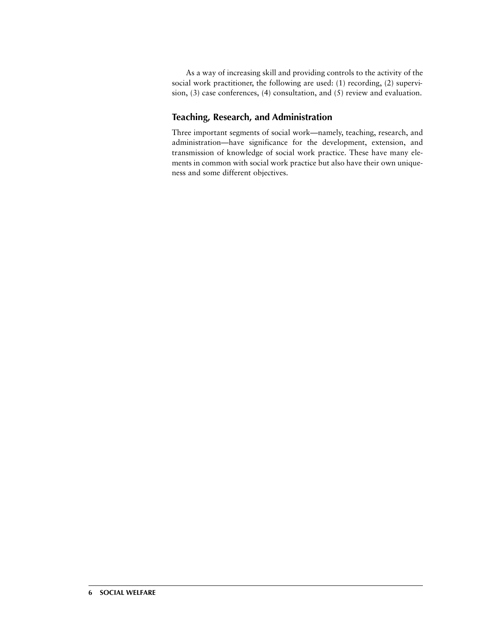As a way of increasing skill and providing controls to the activity of the social work practitioner, the following are used: (1) recording, (2) supervision, (3) case conferences, (4) consultation, and (5) review and evaluation.

## **Teaching, Research, and Administration**

Three important segments of social work—namely, teaching, research, and administration—have significance for the development, extension, and transmission of knowledge of social work practice. These have many elements in common with social work practice but also have their own uniqueness and some different objectives.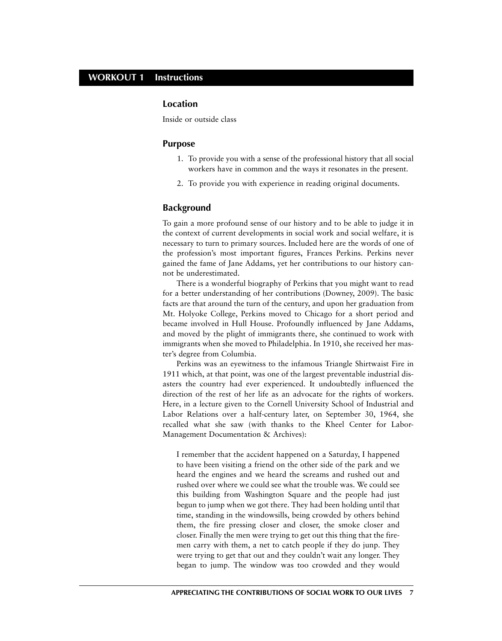# **WORKOUT 1 Instructions**

#### **Location**

Inside or outside class

#### **Purpose**

- 1. To provide you with a sense of the professional history that all social workers have in common and the ways it resonates in the present.
- 2. To provide you with experience in reading original documents.

#### **Background**

To gain a more profound sense of our history and to be able to judge it in the context of current developments in social work and social welfare, it is necessary to turn to primary sources. Included here are the words of one of the profession's most important figures, Frances Perkins. Perkins never gained the fame of Jane Addams, yet her contributions to our history cannot be underestimated.

There is a wonderful biography of Perkins that you might want to read for a better understanding of her contributions (Downey, 2009). The basic facts are that around the turn of the century, and upon her graduation from Mt. Holyoke College, Perkins moved to Chicago for a short period and became involved in Hull House. Profoundly influenced by Jane Addams, and moved by the plight of immigrants there, she continued to work with immigrants when she moved to Philadelphia. In 1910, she received her master's degree from Columbia.

Perkins was an eyewitness to the infamous Triangle Shirtwaist Fire in 1911 which, at that point, was one of the largest preventable industrial disasters the country had ever experienced. It undoubtedly influenced the direction of the rest of her life as an advocate for the rights of workers. Here, in a lecture given to the Cornell University School of Industrial and Labor Relations over a half-century later, on September 30, 1964, she recalled what she saw (with thanks to the Kheel Center for Labor-Management Documentation & Archives):

I remember that the accident happened on a Saturday, I happened to have been visiting a friend on the other side of the park and we heard the engines and we heard the screams and rushed out and rushed over where we could see what the trouble was. We could see this building from Washington Square and the people had just begun to jump when we got there. They had been holding until that time, standing in the windowsills, being crowded by others behind them, the fire pressing closer and closer, the smoke closer and closer. Finally the men were trying to get out this thing that the firemen carry with them, a net to catch people if they do junp. They were trying to get that out and they couldn't wait any longer. They began to jump. The window was too crowded and they would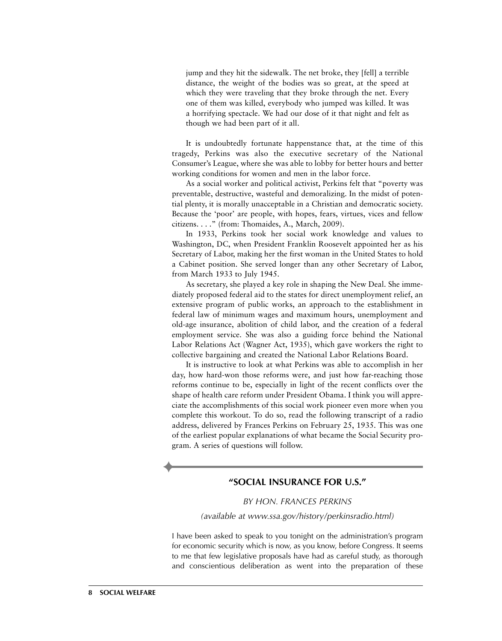jump and they hit the sidewalk. The net broke, they [fell] a terrible distance, the weight of the bodies was so great, at the speed at which they were traveling that they broke through the net. Every one of them was killed, everybody who jumped was killed. It was a horrifying spectacle. We had our dose of it that night and felt as though we had been part of it all.

It is undoubtedly fortunate happenstance that, at the time of this tragedy, Perkins was also the executive secretary of the National Consumer's League, where she was able to lobby for better hours and better working conditions for women and men in the labor force.

As a social worker and political activist, Perkins felt that "poverty was preventable, destructive, wasteful and demoralizing. In the midst of potential plenty, it is morally unacceptable in a Christian and democratic society. Because the 'poor' are people, with hopes, fears, virtues, vices and fellow citizens. . . ." (from: Thomaides, A., March, 2009).

In 1933, Perkins took her social work knowledge and values to Washington, DC, when President Franklin Roosevelt appointed her as his Secretary of Labor, making her the first woman in the United States to hold a Cabinet position. She served longer than any other Secretary of Labor, from March 1933 to July 1945.

As secretary, she played a key role in shaping the New Deal. She immediately proposed federal aid to the states for direct unemployment relief, an extensive program of public works, an approach to the establishment in federal law of minimum wages and maximum hours, unemployment and old-age insurance, abolition of child labor, and the creation of a federal employment service. She was also a guiding force behind the National Labor Relations Act (Wagner Act, 1935), which gave workers the right to collective bargaining and created the National Labor Relations Board.

It is instructive to look at what Perkins was able to accomplish in her day, how hard-won those reforms were, and just how far-reaching those reforms continue to be, especially in light of the recent conflicts over the shape of health care reform under President Obama. I think you will appreciate the accomplishments of this social work pioneer even more when you complete this workout. To do so, read the following transcript of a radio address, delivered by Frances Perkins on February 25, 1935. This was one of the earliest popular explanations of what became the Social Security program. A series of questions will follow.

#### **"SOCIAL INSURANCE FOR U.S."**

#### *BY HON. FRANCES PERKINS*

#### *(available at www.ssa.gov/history/perkinsradio.html)*

I have been asked to speak to you tonight on the administration's program for economic security which is now, as you know, before Congress. It seems to me that few legislative proposals have had as careful study, as thorough and conscientious deliberation as went into the preparation of these

**✦**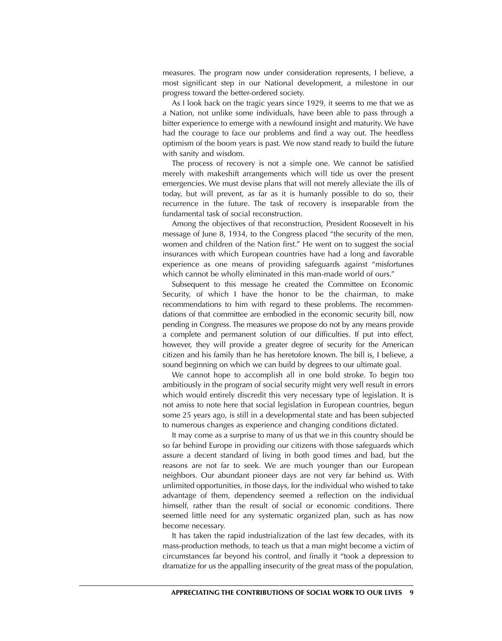measures. The program now under consideration represents, I believe, a most significant step in our National development, a milestone in our progress toward the better-ordered society.

As I look back on the tragic years since 1929, it seems to me that we as a Nation, not unlike some individuals, have been able to pass through a bitter experience to emerge with a newfound insight and maturity. We have had the courage to face our problems and find a way out. The heedless optimism of the boom years is past. We now stand ready to build the future with sanity and wisdom.

The process of recovery is not a simple one. We cannot be satisfied merely with makeshift arrangements which will tide us over the present emergencies. We must devise plans that will not merely alleviate the ills of today, but will prevent, as far as it is humanly possible to do so, their recurrence in the future. The task of recovery is inseparable from the fundamental task of social reconstruction.

Among the objectives of that reconstruction, President Roosevelt in his message of June 8, 1934, to the Congress placed "the security of the men, women and children of the Nation first." He went on to suggest the social insurances with which European countries have had a long and favorable experience as one means of providing safeguards against "misfortunes which cannot be wholly eliminated in this man-made world of ours."

Subsequent to this message he created the Committee on Economic Security, of which I have the honor to be the chairman, to make recommendations to him with regard to these problems. The recommendations of that committee are embodied in the economic security bill, now pending in Congress. The measures we propose do not by any means provide a complete and permanent solution of our difficulties. If put into effect, however, they will provide a greater degree of security for the American citizen and his family than he has heretofore known. The bill is, I believe, a sound beginning on which we can build by degrees to our ultimate goal.

We cannot hope to accomplish all in one bold stroke. To begin too ambitiously in the program of social security might very well result in errors which would entirely discredit this very necessary type of legislation. It is not amiss to note here that social legislation in European countries, begun some 25 years ago, is still in a developmental state and has been subjected to numerous changes as experience and changing conditions dictated.

It may come as a surprise to many of us that we in this country should be so far behind Europe in providing our citizens with those safeguards which assure a decent standard of living in both good times and bad, but the reasons are not far to seek. We are much younger than our European neighbors. Our abundant pioneer days are not very far behind us. With unlimited opportunities, in those days, for the individual who wished to take advantage of them, dependency seemed a reflection on the individual himself, rather than the result of social or economic conditions. There seemed little need for any systematic organized plan, such as has now become necessary.

It has taken the rapid industrialization of the last few decades, with its mass-production methods, to teach us that a man might become a victim of circumstances far beyond his control, and finally it "took a depression to dramatize for us the appalling insecurity of the great mass of the population,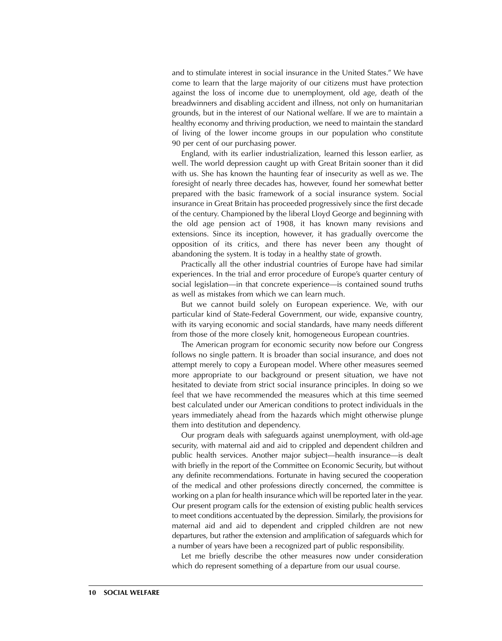and to stimulate interest in social insurance in the United States." We have come to learn that the large majority of our citizens must have protection against the loss of income due to unemployment, old age, death of the breadwinners and disabling accident and illness, not only on humanitarian grounds, but in the interest of our National welfare. If we are to maintain a healthy economy and thriving production, we need to maintain the standard of living of the lower income groups in our population who constitute 90 per cent of our purchasing power.

England, with its earlier industrialization, learned this lesson earlier, as well. The world depression caught up with Great Britain sooner than it did with us. She has known the haunting fear of insecurity as well as we. The foresight of nearly three decades has, however, found her somewhat better prepared with the basic framework of a social insurance system. Social insurance in Great Britain has proceeded progressively since the first decade of the century. Championed by the liberal Lloyd George and beginning with the old age pension act of 1908, it has known many revisions and extensions. Since its inception, however, it has gradually overcome the opposition of its critics, and there has never been any thought of abandoning the system. It is today in a healthy state of growth.

Practically all the other industrial countries of Europe have had similar experiences. In the trial and error procedure of Europe's quarter century of social legislation—in that concrete experience—is contained sound truths as well as mistakes from which we can learn much.

But we cannot build solely on European experience. We, with our particular kind of State-Federal Government, our wide, expansive country, with its varying economic and social standards, have many needs different from those of the more closely knit, homogeneous European countries.

The American program for economic security now before our Congress follows no single pattern. It is broader than social insurance, and does not attempt merely to copy a European model. Where other measures seemed more appropriate to our background or present situation, we have not hesitated to deviate from strict social insurance principles. In doing so we feel that we have recommended the measures which at this time seemed best calculated under our American conditions to protect individuals in the years immediately ahead from the hazards which might otherwise plunge them into destitution and dependency.

Our program deals with safeguards against unemployment, with old-age security, with maternal aid and aid to crippled and dependent children and public health services. Another major subject—health insurance—is dealt with briefly in the report of the Committee on Economic Security, but without any definite recommendations. Fortunate in having secured the cooperation of the medical and other professions directly concerned, the committee is working on a plan for health insurance which will be reported later in the year. Our present program calls for the extension of existing public health services to meet conditions accentuated by the depression. Similarly, the provisions for maternal aid and aid to dependent and crippled children are not new departures, but rather the extension and amplification of safeguards which for a number of years have been a recognized part of public responsibility.

Let me briefly describe the other measures now under consideration which do represent something of a departure from our usual course.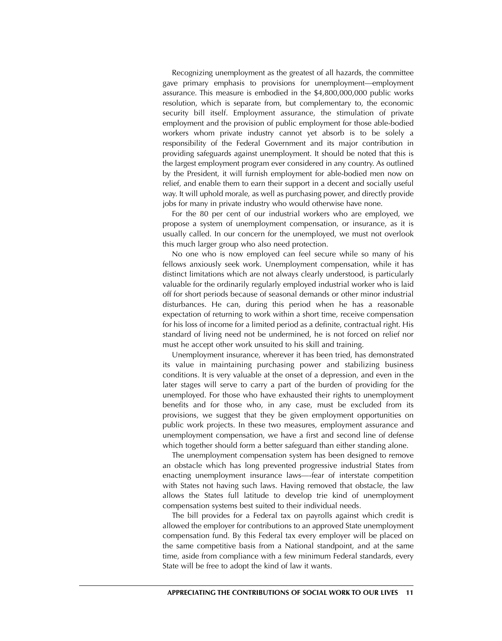Recognizing unemployment as the greatest of all hazards, the committee gave primary emphasis to provisions for unemployment—employment assurance. This measure is embodied in the \$4,800,000,000 public works resolution, which is separate from, but complementary to, the economic security bill itself. Employment assurance, the stimulation of private employment and the provision of public employment for those able-bodied workers whom private industry cannot yet absorb is to be solely a responsibility of the Federal Government and its major contribution in providing safeguards against unemployment. It should be noted that this is the largest employment program ever considered in any country. As outlined by the President, it will furnish employment for able-bodied men now on relief, and enable them to earn their support in a decent and socially useful way. It will uphold morale, as well as purchasing power, and directly provide jobs for many in private industry who would otherwise have none.

For the 80 per cent of our industrial workers who are employed, we propose a system of unemployment compensation, or insurance, as it is usually called. In our concern for the unemployed, we must not overlook this much larger group who also need protection.

No one who is now employed can feel secure while so many of his fellows anxiously seek work. Unemployment compensation, while it has distinct limitations which are not always clearly understood, is particularly valuable for the ordinarily regularly employed industrial worker who is laid off for short periods because of seasonal demands or other minor industrial disturbances. He can, during this period when he has a reasonable expectation of returning to work within a short time, receive compensation for his loss of income for a limited period as a definite, contractual right. His standard of living need not be undermined, he is not forced on relief nor must he accept other work unsuited to his skill and training.

Unemployment insurance, wherever it has been tried, has demonstrated its value in maintaining purchasing power and stabilizing business conditions. It is very valuable at the onset of a depression, and even in the later stages will serve to carry a part of the burden of providing for the unemployed. For those who have exhausted their rights to unemployment benefits and for those who, in any case, must be excluded from its provisions, we suggest that they be given employment opportunities on public work projects. In these two measures, employment assurance and unemployment compensation, we have a first and second line of defense which together should form a better safeguard than either standing alone.

The unemployment compensation system has been designed to remove an obstacle which has long prevented progressive industrial States from enacting unemployment insurance laws—-fear of interstate competition with States not having such laws. Having removed that obstacle, the law allows the States full latitude to develop trie kind of unemployment compensation systems best suited to their individual needs.

The bill provides for a Federal tax on payrolls against which credit is allowed the employer for contributions to an approved State unemployment compensation fund. By this Federal tax every employer will be placed on the same competitive basis from a National standpoint, and at the same time, aside from compliance with a few minimum Federal standards, every State will be free to adopt the kind of law it wants.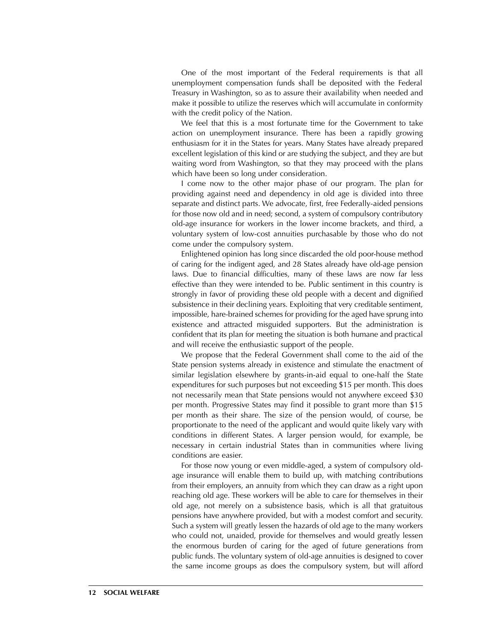One of the most important of the Federal requirements is that all unemployment compensation funds shall be deposited with the Federal Treasury in Washington, so as to assure their availability when needed and make it possible to utilize the reserves which will accumulate in conformity with the credit policy of the Nation.

We feel that this is a most fortunate time for the Government to take action on unemployment insurance. There has been a rapidly growing enthusiasm for it in the States for years. Many States have already prepared excellent legislation of this kind or are studying the subject, and they are but waiting word from Washington, so that they may proceed with the plans which have been so long under consideration.

I come now to the other major phase of our program. The plan for providing against need and dependency in old age is divided into three separate and distinct parts. We advocate, first, free Federally-aided pensions for those now old and in need; second, a system of compulsory contributory old-age insurance for workers in the lower income brackets, and third, a voluntary system of low-cost annuities purchasable by those who do not come under the compulsory system.

Enlightened opinion has long since discarded the old poor-house method of caring for the indigent aged, and 28 States already have old-age pension laws. Due to financial difficulties, many of these laws are now far less effective than they were intended to be. Public sentiment in this country is strongly in favor of providing these old people with a decent and dignified subsistence in their declining years. Exploiting that very creditable sentiment, impossible, hare-brained schemes for providing for the aged have sprung into existence and attracted misguided supporters. But the administration is confident that its plan for meeting the situation is both humane and practical and will receive the enthusiastic support of the people.

We propose that the Federal Government shall come to the aid of the State pension systems already in existence and stimulate the enactment of similar legislation elsewhere by grants-in-aid equal to one-half the State expenditures for such purposes but not exceeding \$15 per month. This does not necessarily mean that State pensions would not anywhere exceed \$30 per month. Progressive States may find it possible to grant more than \$15 per month as their share. The size of the pension would, of course, be proportionate to the need of the applicant and would quite likely vary with conditions in different States. A larger pension would, for example, be necessary in certain industrial States than in communities where living conditions are easier.

For those now young or even middle-aged, a system of compulsory oldage insurance will enable them to build up, with matching contributions from their employers, an annuity from which they can draw as a right upon reaching old age. These workers will be able to care for themselves in their old age, not merely on a subsistence basis, which is all that gratuitous pensions have anywhere provided, but with a modest comfort and security. Such a system will greatly lessen the hazards of old age to the many workers who could not, unaided, provide for themselves and would greatly lessen the enormous burden of caring for the aged of future generations from public funds. The voluntary system of old-age annuities is designed to cover the same income groups as does the compulsory system, but will afford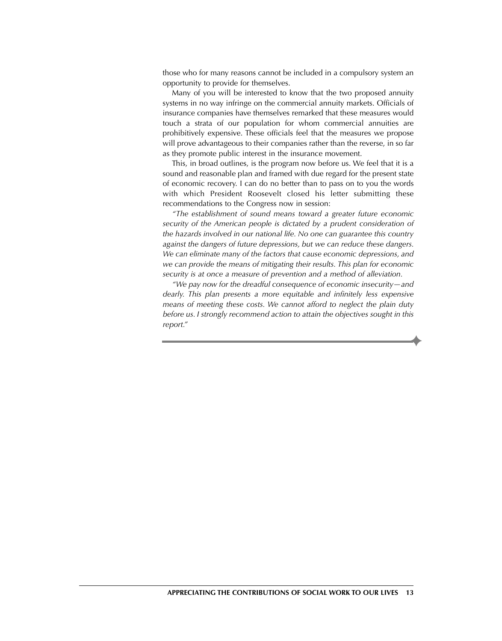those who for many reasons cannot be included in a compulsory system an opportunity to provide for themselves.

Many of you will be interested to know that the two proposed annuity systems in no way infringe on the commercial annuity markets. Officials of insurance companies have themselves remarked that these measures would touch a strata of our population for whom commercial annuities are prohibitively expensive. These officials feel that the measures we propose will prove advantageous to their companies rather than the reverse, in so far as they promote public interest in the insurance movement.

This, in broad outlines, is the program now before us. We feel that it is a sound and reasonable plan and framed with due regard for the present state of economic recovery. I can do no better than to pass on to you the words with which President Roosevelt closed his letter submitting these recommendations to the Congress now in session:

*"The establishment of sound means toward a greater future economic security of the American people is dictated by a prudent consideration of the hazards involved in our national life. No one can guarantee this country against the dangers of future depressions, but we can reduce these dangers. We can eliminate many of the factors that cause economic depressions, and we can provide the means of mitigating their results. This plan for economic security is at once a measure of prevention and a method of alleviation.*

*"We pay now for the dreadful consequence of economic insecurity—and dearly. This plan presents a more equitable and infinitely less expensive means of meeting these costs. We cannot afford to neglect the plain duty before us. I strongly recommend action to attain the objectives sought in this report."*

**✦**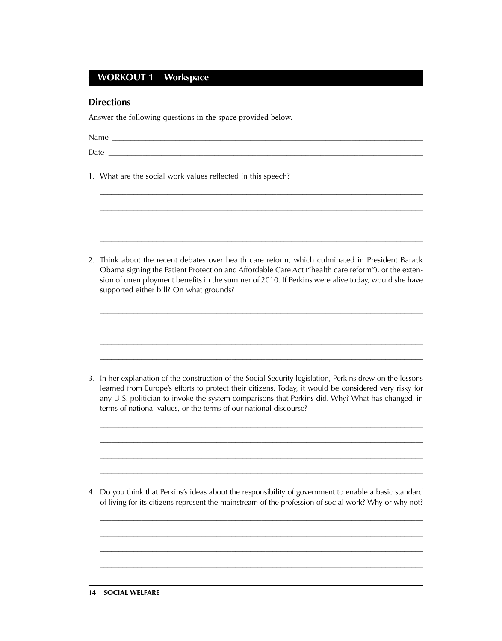# **WORKOUT 1 Workspace**

#### **Directions**

Answer the following questions in the space provided below.

Name \_\_\_\_\_\_\_\_\_\_\_\_\_\_\_\_\_\_\_\_\_\_\_\_\_\_\_\_\_\_\_\_\_\_\_\_\_\_\_\_\_\_\_\_\_\_\_\_\_\_\_\_\_\_\_\_\_\_\_\_\_\_\_\_\_\_\_\_\_\_\_\_\_\_\_\_\_\_\_\_\_\_\_

 $Date$   $\overline{\phantom{a}}$ 

1. What are the social work values reflected in this speech?

2. Think about the recent debates over health care reform, which culminated in President Barack Obama signing the Patient Protection and Affordable Care Act ("health care reform"), or the extension of unemployment benefits in the summer of 2010. If Perkins were alive today, would she have supported either bill? On what grounds?

*\_\_\_\_\_\_\_\_\_\_\_\_\_\_\_\_\_\_\_\_\_\_\_\_\_\_\_\_\_\_\_\_\_\_\_\_\_\_\_\_\_\_\_\_\_\_\_\_\_\_\_\_\_\_\_\_\_\_\_\_\_\_\_\_\_\_\_\_\_\_\_\_\_\_\_\_\_\_\_\_\_\_\_\_\_\_*

*\_\_\_\_\_\_\_\_\_\_\_\_\_\_\_\_\_\_\_\_\_\_\_\_\_\_\_\_\_\_\_\_\_\_\_\_\_\_\_\_\_\_\_\_\_\_\_\_\_\_\_\_\_\_\_\_\_\_\_\_\_\_\_\_\_\_\_\_\_\_\_\_\_\_\_\_\_\_\_\_\_\_\_\_\_\_*

*\_\_\_\_\_\_\_\_\_\_\_\_\_\_\_\_\_\_\_\_\_\_\_\_\_\_\_\_\_\_\_\_\_\_\_\_\_\_\_\_\_\_\_\_\_\_\_\_\_\_\_\_\_\_\_\_\_\_\_\_\_\_\_\_\_\_\_\_\_\_\_\_\_\_\_\_\_\_\_\_\_\_\_\_\_\_*

*\_\_\_\_\_\_\_\_\_\_\_\_\_\_\_\_\_\_\_\_\_\_\_\_\_\_\_\_\_\_\_\_\_\_\_\_\_\_\_\_\_\_\_\_\_\_\_\_\_\_\_\_\_\_\_\_\_\_\_\_\_\_\_\_\_\_\_\_\_\_\_\_\_\_\_\_\_\_\_\_\_\_\_\_\_\_*

*\_\_\_\_\_\_\_\_\_\_\_\_\_\_\_\_\_\_\_\_\_\_\_\_\_\_\_\_\_\_\_\_\_\_\_\_\_\_\_\_\_\_\_\_\_\_\_\_\_\_\_\_\_\_\_\_\_\_\_\_\_\_\_\_\_\_\_\_\_\_\_\_\_\_\_\_\_\_\_\_\_\_\_\_\_\_*

*\_\_\_\_\_\_\_\_\_\_\_\_\_\_\_\_\_\_\_\_\_\_\_\_\_\_\_\_\_\_\_\_\_\_\_\_\_\_\_\_\_\_\_\_\_\_\_\_\_\_\_\_\_\_\_\_\_\_\_\_\_\_\_\_\_\_\_\_\_\_\_\_\_\_\_\_\_\_\_\_\_\_\_\_\_\_*

*\_\_\_\_\_\_\_\_\_\_\_\_\_\_\_\_\_\_\_\_\_\_\_\_\_\_\_\_\_\_\_\_\_\_\_\_\_\_\_\_\_\_\_\_\_\_\_\_\_\_\_\_\_\_\_\_\_\_\_\_\_\_\_\_\_\_\_\_\_\_\_\_\_\_\_\_\_\_\_\_\_\_\_\_\_\_*

*\_\_\_\_\_\_\_\_\_\_\_\_\_\_\_\_\_\_\_\_\_\_\_\_\_\_\_\_\_\_\_\_\_\_\_\_\_\_\_\_\_\_\_\_\_\_\_\_\_\_\_\_\_\_\_\_\_\_\_\_\_\_\_\_\_\_\_\_\_\_\_\_\_\_\_\_\_\_\_\_\_\_\_\_\_\_*

3. In her explanation of the construction of the Social Security legislation, Perkins drew on the lessons learned from Europe's efforts to protect their citizens. Today, it would be considered very risky for any U.S. politician to invoke the system comparisons that Perkins did. Why? What has changed, in terms of national values, or the terms of our national discourse?

*\_\_\_\_\_\_\_\_\_\_\_\_\_\_\_\_\_\_\_\_\_\_\_\_\_\_\_\_\_\_\_\_\_\_\_\_\_\_\_\_\_\_\_\_\_\_\_\_\_\_\_\_\_\_\_\_\_\_\_\_\_\_\_\_\_\_\_\_\_\_\_\_\_\_\_\_\_\_\_\_\_\_\_\_\_\_*

*\_\_\_\_\_\_\_\_\_\_\_\_\_\_\_\_\_\_\_\_\_\_\_\_\_\_\_\_\_\_\_\_\_\_\_\_\_\_\_\_\_\_\_\_\_\_\_\_\_\_\_\_\_\_\_\_\_\_\_\_\_\_\_\_\_\_\_\_\_\_\_\_\_\_\_\_\_\_\_\_\_\_\_\_\_\_*

*\_\_\_\_\_\_\_\_\_\_\_\_\_\_\_\_\_\_\_\_\_\_\_\_\_\_\_\_\_\_\_\_\_\_\_\_\_\_\_\_\_\_\_\_\_\_\_\_\_\_\_\_\_\_\_\_\_\_\_\_\_\_\_\_\_\_\_\_\_\_\_\_\_\_\_\_\_\_\_\_\_\_\_\_\_\_*

*\_\_\_\_\_\_\_\_\_\_\_\_\_\_\_\_\_\_\_\_\_\_\_\_\_\_\_\_\_\_\_\_\_\_\_\_\_\_\_\_\_\_\_\_\_\_\_\_\_\_\_\_\_\_\_\_\_\_\_\_\_\_\_\_\_\_\_\_\_\_\_\_\_\_\_\_\_\_\_\_\_\_\_\_\_\_*

*\_\_\_\_\_\_\_\_\_\_\_\_\_\_\_\_\_\_\_\_\_\_\_\_\_\_\_\_\_\_\_\_\_\_\_\_\_\_\_\_\_\_\_\_\_\_\_\_\_\_\_\_\_\_\_\_\_\_\_\_\_\_\_\_\_\_\_\_\_\_\_\_\_\_\_\_\_\_\_\_\_\_\_\_\_\_*

*\_\_\_\_\_\_\_\_\_\_\_\_\_\_\_\_\_\_\_\_\_\_\_\_\_\_\_\_\_\_\_\_\_\_\_\_\_\_\_\_\_\_\_\_\_\_\_\_\_\_\_\_\_\_\_\_\_\_\_\_\_\_\_\_\_\_\_\_\_\_\_\_\_\_\_\_\_\_\_\_\_\_\_\_\_\_ \_\_\_\_\_\_\_\_\_\_\_\_\_\_\_\_\_\_\_\_\_\_\_\_\_\_\_\_\_\_\_\_\_\_\_\_\_\_\_\_\_\_\_\_\_\_\_\_\_\_\_\_\_\_\_\_\_\_\_\_\_\_\_\_\_\_\_\_\_\_\_\_\_\_\_\_\_\_\_\_\_\_\_\_\_\_*

*\_\_\_\_\_\_\_\_\_\_\_\_\_\_\_\_\_\_\_\_\_\_\_\_\_\_\_\_\_\_\_\_\_\_\_\_\_\_\_\_\_\_\_\_\_\_\_\_\_\_\_\_\_\_\_\_\_\_\_\_\_\_\_\_\_\_\_\_\_\_\_\_\_\_\_\_\_\_\_\_\_\_\_\_\_\_*

4. Do you think that Perkins's ideas about the responsibility of government to enable a basic standard of living for its citizens represent the mainstream of the profession of social work? Why or why not?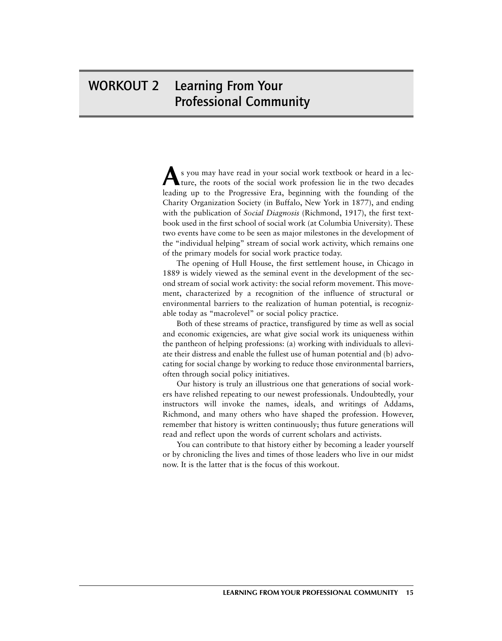# WORKOUT 2 Learning From Your Professional Community

**A**<sup>s</sup> you may have read in your social work textbook or heard in <sup>a</sup> lecture, the roots of the social work profession lie in the two decades leading up to the Progressive Era, beginning with the founding of the Charity Organization Society (in Buffalo, New York in 1877), and ending with the publication of *Social Diagnosis* (Richmond, 1917), the first textbook used in the first school of social work (at Columbia University). These two events have come to be seen as major milestones in the development of the "individual helping" stream of social work activity, which remains one of the primary models for social work practice today.

The opening of Hull House, the first settlement house, in Chicago in 1889 is widely viewed as the seminal event in the development of the second stream of social work activity: the social reform movement. This movement, characterized by a recognition of the influence of structural or environmental barriers to the realization of human potential, is recognizable today as "macrolevel" or social policy practice.

Both of these streams of practice, transfigured by time as well as social and economic exigencies, are what give social work its uniqueness within the pantheon of helping professions: (a) working with individuals to alleviate their distress and enable the fullest use of human potential and (b) advocating for social change by working to reduce those environmental barriers, often through social policy initiatives.

Our history is truly an illustrious one that generations of social workers have relished repeating to our newest professionals. Undoubtedly, your instructors will invoke the names, ideals, and writings of Addams, Richmond, and many others who have shaped the profession. However, remember that history is written continuously; thus future generations will read and reflect upon the words of current scholars and activists.

You can contribute to that history either by becoming a leader yourself or by chronicling the lives and times of those leaders who live in our midst now. It is the latter that is the focus of this workout.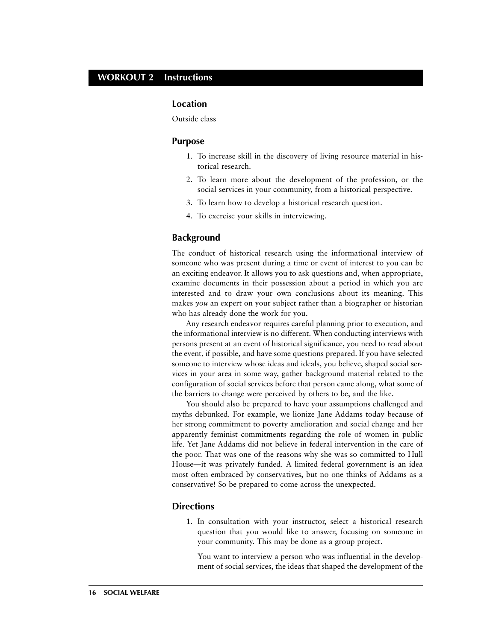# **WORKOUT 2 Instructions**

#### **Location**

Outside class

#### **Purpose**

- 1. To increase skill in the discovery of living resource material in historical research.
- 2. To learn more about the development of the profession, or the social services in your community, from a historical perspective.
- 3. To learn how to develop a historical research question.
- 4. To exercise your skills in interviewing.

#### **Background**

The conduct of historical research using the informational interview of someone who was present during a time or event of interest to you can be an exciting endeavor. It allows you to ask questions and, when appropriate, examine documents in their possession about a period in which you are interested and to draw your own conclusions about its meaning. This makes *you* an expert on your subject rather than a biographer or historian who has already done the work for you.

Any research endeavor requires careful planning prior to execution, and the informational interview is no different. When conducting interviews with persons present at an event of historical significance, you need to read about the event, if possible, and have some questions prepared. If you have selected someone to interview whose ideas and ideals, you believe, shaped social services in your area in some way, gather background material related to the configuration of social services before that person came along, what some of the barriers to change were perceived by others to be, and the like.

You should also be prepared to have your assumptions challenged and myths debunked. For example, we lionize Jane Addams today because of her strong commitment to poverty amelioration and social change and her apparently feminist commitments regarding the role of women in public life. Yet Jane Addams did not believe in federal intervention in the care of the poor. That was one of the reasons why she was so committed to Hull House—it was privately funded. A limited federal government is an idea most often embraced by conservatives, but no one thinks of Addams as a conservative! So be prepared to come across the unexpected.

#### **Directions**

1. In consultation with your instructor, select a historical research question that you would like to answer, focusing on someone in your community. This may be done as a group project.

You want to interview a person who was influential in the development of social services, the ideas that shaped the development of the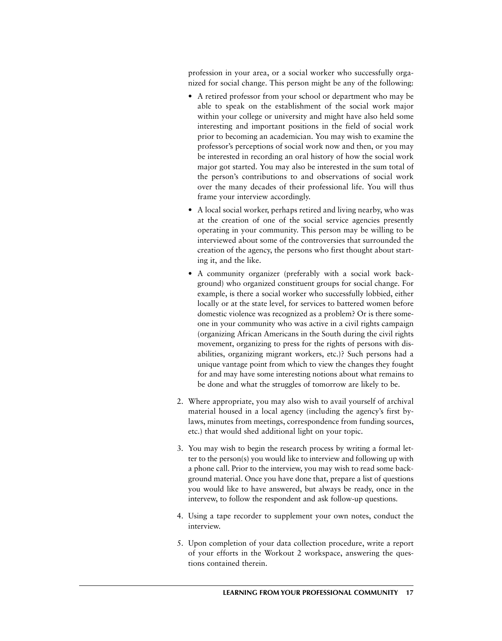profession in your area, or a social worker who successfully organized for social change. This person might be any of the following:

- A retired professor from your school or department who may be able to speak on the establishment of the social work major within your college or university and might have also held some interesting and important positions in the field of social work prior to becoming an academician. You may wish to examine the professor's perceptions of social work now and then, or you may be interested in recording an oral history of how the social work major got started. You may also be interested in the sum total of the person's contributions to and observations of social work over the many decades of their professional life. You will thus frame your interview accordingly.
- A local social worker, perhaps retired and living nearby, who was at the creation of one of the social service agencies presently operating in your community. This person may be willing to be interviewed about some of the controversies that surrounded the creation of the agency, the persons who first thought about starting it, and the like.
- A community organizer (preferably with a social work background) who organized constituent groups for social change. For example, is there a social worker who successfully lobbied, either locally or at the state level, for services to battered women before domestic violence was recognized as a problem? Or is there someone in your community who was active in a civil rights campaign (organizing African Americans in the South during the civil rights movement, organizing to press for the rights of persons with disabilities, organizing migrant workers, etc.)? Such persons had a unique vantage point from which to view the changes they fought for and may have some interesting notions about what remains to be done and what the struggles of tomorrow are likely to be.
- 2. Where appropriate, you may also wish to avail yourself of archival material housed in a local agency (including the agency's first bylaws, minutes from meetings, correspondence from funding sources, etc.) that would shed additional light on your topic.
- 3. You may wish to begin the research process by writing a formal letter to the person(s) you would like to interview and following up with a phone call. Prior to the interview, you may wish to read some background material. Once you have done that, prepare a list of questions you would like to have answered, but always be ready, once in the intervew, to follow the respondent and ask follow-up questions.
- 4. Using a tape recorder to supplement your own notes, conduct the interview.
- 5. Upon completion of your data collection procedure, write a report of your efforts in the Workout 2 workspace, answering the questions contained therein.